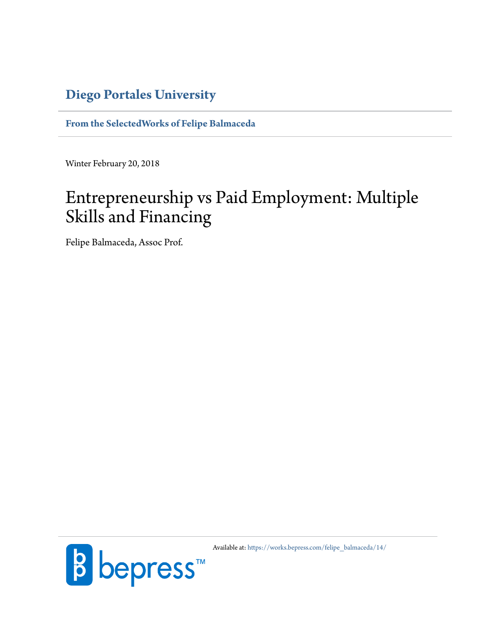## **Diego Portales University**

**[From the SelectedWorks of Felipe Balmaceda](https://works.bepress.com/felipe_balmaceda/)**

Winter February 20, 2018

# Entrepreneurship vs Paid Employment: Multiple Skills and Financing

Felipe Balmaceda, Assoc Prof.



Available at: [https://works.bepress.com/felipe\\_balmaceda/14/](https://works.bepress.com/felipe_balmaceda/14/)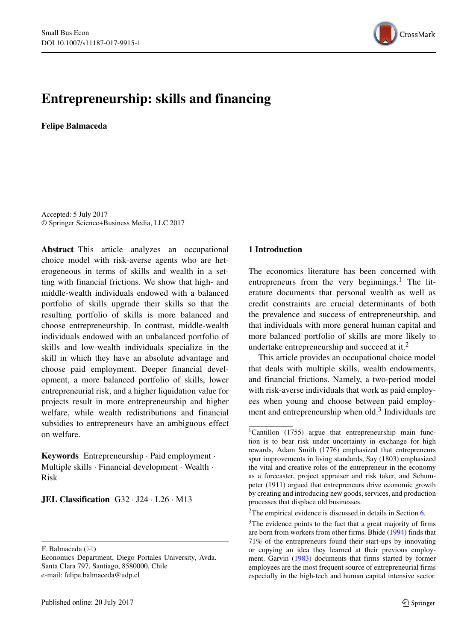

### **Entrepreneurship: skills and financing**

**Felipe Balmaceda**

Accepted: 5 July 2017 © Springer Science+Business Media, LLC 2017

**Abstract** This article analyzes an occupational choice model with risk-averse agents who are heterogeneous in terms of skills and wealth in a setting with financial frictions. We show that high- and middle-wealth individuals endowed with a balanced portfolio of skills upgrade their skills so that the resulting portfolio of skills is more balanced and choose entrepreneurship. In contrast, middle-wealth individuals endowed with an unbalanced portfolio of skills and low-wealth individuals specialize in the skill in which they have an absolute advantage and choose paid employment. Deeper financial development, a more balanced portfolio of skills, lower entrepreneurial risk, and a higher liquidation value for projects result in more entrepreneurship and higher welfare, while wealth redistributions and financial subsidies to entrepreneurs have an ambiguous effect on welfare.

**Keywords** Entrepreneurship · Paid employment · Multiple skills · Financial development · Wealth · Risk

**JEL Classification** G32 · J24 · L26 · M13

F. Balmaceda  $(\boxtimes)$ 

#### **1 Introduction**

The economics literature has been concerned with entrepreneurs from the very beginnings.<sup>1</sup> The literature documents that personal wealth as well as credit constraints are crucial determinants of both the prevalence and success of entrepreneurship, and that individuals with more general human capital and more balanced portfolio of skills are more likely to undertake entrepreneurship and succeed at it.<sup>[2](#page-1-1)</sup>

This article provides an occupational choice model that deals with multiple skills, wealth endowments, and financial frictions. Namely, a two-period model with risk-averse individuals that work as paid employees when young and choose between paid employment and entrepreneurship when old.<sup>3</sup> Individuals are

Economics Department, Diego Portales University, Avda. Santa Clara 797, Santiago, 8580000, Chile e-mail: [felipe.balmaceda@udp.cl](mailto:felipe.balmaceda@udp.cl)

<span id="page-1-0"></span><sup>&</sup>lt;sup>1</sup>Cantillon (1755) argue that entrepreneurship main function is to bear risk under uncertainty in exchange for high rewards, Adam Smith (1776) emphasized that entrepreneurs spur improvements in living standards, Say (1803) emphasized the vital and creative roles of the entrepreneur in the economy as a forecaster, project appraiser and risk taker, and Schumpeter (1911) argued that entrepreneurs drive economic growth by creating and introducing new goods, services, and production processes that displace old businesses.

<sup>2</sup>The empirical evidence is discussed in details in Section [6.](#page-12-0)

<span id="page-1-2"></span><span id="page-1-1"></span><sup>&</sup>lt;sup>3</sup>The evidence points to the fact that a great majority of firms are born from workers from other firms. Bhide [\(1994\)](#page-15-0) finds that 71% of the entrepreneurs found their start-ups by innovating or copying an idea they learned at their previous employment. Garvin [\(1983\)](#page-16-0) documents that firms started by former employees are the most frequent source of entrepreneurial firms especially in the high-tech and human capital intensive sector.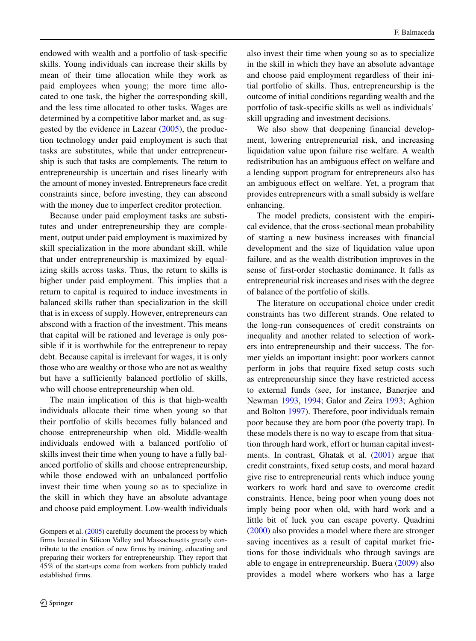endowed with wealth and a portfolio of task-specific skills. Young individuals can increase their skills by mean of their time allocation while they work as paid employees when young; the more time allocated to one task, the higher the corresponding skill, and the less time allocated to other tasks. Wages are determined by a competitive labor market and, as suggested by the evidence in Lazear [\(2005\)](#page-16-1), the production technology under paid employment is such that tasks are substitutes, while that under entrepreneurship is such that tasks are complements. The return to entrepreneurship is uncertain and rises linearly with the amount of money invested. Entrepreneurs face credit constraints since, before investing, they can abscond with the money due to imperfect creditor protection.

Because under paid employment tasks are substitutes and under entrepreneurship they are complement, output under paid employment is maximized by skill specialization in the more abundant skill, while that under entrepreneurship is maximized by equalizing skills across tasks. Thus, the return to skills is higher under paid employment. This implies that a return to capital is required to induce investments in balanced skills rather than specialization in the skill that is in excess of supply. However, entrepreneurs can abscond with a fraction of the investment. This means that capital will be rationed and leverage is only possible if it is worthwhile for the entrepreneur to repay debt. Because capital is irrelevant for wages, it is only those who are wealthy or those who are not as wealthy but have a sufficiently balanced portfolio of skills, who will choose entrepreneurship when old.

The main implication of this is that high-wealth individuals allocate their time when young so that their portfolio of skills becomes fully balanced and choose entrepreneurship when old. Middle-wealth individuals endowed with a balanced portfolio of skills invest their time when young to have a fully balanced portfolio of skills and choose entrepreneurship, while those endowed with an unbalanced portfolio invest their time when young so as to specialize in the skill in which they have an absolute advantage and choose paid employment. Low-wealth individuals also invest their time when young so as to specialize in the skill in which they have an absolute advantage and choose paid employment regardless of their initial portfolio of skills. Thus, entrepreneurship is the outcome of initial conditions regarding wealth and the portfolio of task-specific skills as well as individuals' skill upgrading and investment decisions.

We also show that deepening financial development, lowering entrepreneurial risk, and increasing liquidation value upon failure rise welfare. A wealth redistribution has an ambiguous effect on welfare and a lending support program for entrepreneurs also has an ambiguous effect on welfare. Yet, a program that provides entrepreneurs with a small subsidy is welfare enhancing.

The model predicts, consistent with the empirical evidence, that the cross-sectional mean probability of starting a new business increases with financial development and the size of liquidation value upon failure, and as the wealth distribution improves in the sense of first-order stochastic dominance. It falls as entrepreneurial risk increases and rises with the degree of balance of the portfolio of skills.

The literature on occupational choice under credit constraints has two different strands. One related to the long-run consequences of credit constraints on inequality and another related to selection of workers into entrepreneurship and their success. The former yields an important insight: poor workers cannot perform in jobs that require fixed setup costs such as entrepreneurship since they have restricted access to external funds (see, for instance, Banerjee and Newman [1993,](#page-15-1) [1994;](#page-15-2) Galor and Zeira [1993;](#page-16-3) Aghion and Bolton [1997\)](#page-15-3). Therefore, poor individuals remain poor because they are born poor (the poverty trap). In these models there is no way to escape from that situation through hard work, effort or human capital investments. In contrast, Ghatak et al. [\(2001\)](#page-16-4) argue that credit constraints, fixed setup costs, and moral hazard give rise to entrepreneurial rents which induce young workers to work hard and save to overcome credit constraints. Hence, being poor when young does not imply being poor when old, with hard work and a little bit of luck you can escape poverty. Quadrini [\(2000\)](#page-16-5) also provides a model where there are stronger saving incentives as a result of capital market frictions for those individuals who through savings are able to engage in entrepreneurship. Buera [\(2009\)](#page-15-4) also provides a model where workers who has a large

Gompers et al. [\(2005\)](#page-16-2) carefully document the process by which firms located in Silicon Valley and Massachusetts greatly contribute to the creation of new firms by training, educating and preparing their workers for entrepreneurship. They report that 45% of the start-ups come from workers from publicly traded established firms.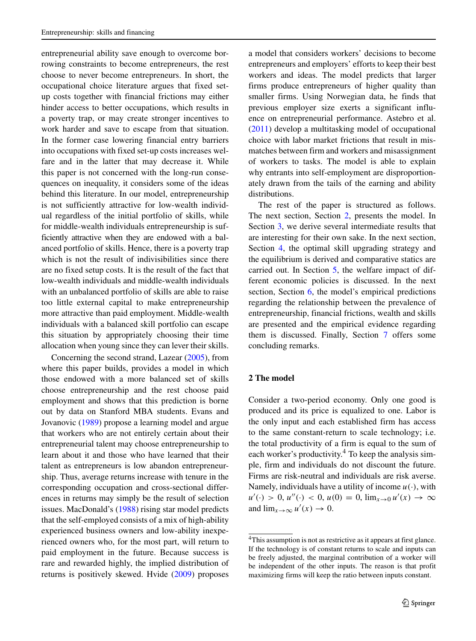entrepreneurial ability save enough to overcome borrowing constraints to become entrepreneurs, the rest choose to never become entrepreneurs. In short, the occupational choice literature argues that fixed setup costs together with financial frictions may either hinder access to better occupations, which results in a poverty trap, or may create stronger incentives to work harder and save to escape from that situation. In the former case lowering financial entry barriers into occupations with fixed set-up costs increases welfare and in the latter that may decrease it. While this paper is not concerned with the long-run consequences on inequality, it considers some of the ideas behind this literature. In our model, entrepreneurship is not sufficiently attractive for low-wealth individual regardless of the initial portfolio of skills, while for middle-wealth individuals entrepreneurship is sufficiently attractive when they are endowed with a balanced portfolio of skills. Hence, there is a poverty trap which is not the result of indivisibilities since there are no fixed setup costs. It is the result of the fact that low-wealth individuals and middle-wealth individuals with an unbalanced portfolio of skills are able to raise too little external capital to make entrepreneurship more attractive than paid employment. Middle-wealth individuals with a balanced skill portfolio can escape this situation by appropriately choosing their time allocation when young since they can lever their skills.

Concerning the second strand, Lazear [\(2005\)](#page-16-1), from where this paper builds, provides a model in which those endowed with a more balanced set of skills choose entrepreneurship and the rest choose paid employment and shows that this prediction is borne out by data on Stanford MBA students. Evans and Jovanovic [\(1989\)](#page-16-6) propose a learning model and argue that workers who are not entirely certain about their entrepreneurial talent may choose entrepreneurship to learn about it and those who have learned that their talent as entrepreneurs is low abandon entrepreneurship. Thus, average returns increase with tenure in the corresponding occupation and cross-sectional differences in returns may simply be the result of selection issues. MacDonald's [\(1988\)](#page-16-7) rising star model predicts that the self-employed consists of a mix of high-ability experienced business owners and low-ability inexperienced owners who, for the most part, will return to paid employment in the future. Because success is rare and rewarded highly, the implied distribution of returns is positively skewed. Hvide [\(2009\)](#page-16-8) proposes

a model that considers workers' decisions to become entrepreneurs and employers' efforts to keep their best workers and ideas. The model predicts that larger firms produce entrepreneurs of higher quality than smaller firms. Using Norwegian data, he finds that previous employer size exerts a significant influence on entrepreneurial performance. Astebro et al. [\(2011\)](#page-15-5) develop a multitasking model of occupational choice with labor market frictions that result in mismatches between firm and workers and misassignment of workers to tasks. The model is able to explain why entrants into self-employment are disproportionately drawn from the tails of the earning and ability distributions.

The rest of the paper is structured as follows. The next section, Section [2,](#page-3-0) presents the model. In Section [3,](#page-5-0) we derive several intermediate results that are interesting for their own sake. In the next section, Section [4,](#page-6-0) the optimal skill upgrading strategy and the equilibrium is derived and comparative statics are carried out. In Section [5,](#page-9-0) the welfare impact of different economic policies is discussed. In the next section, Section [6,](#page-12-0) the model's empirical predictions regarding the relationship between the prevalence of entrepreneurship, financial frictions, wealth and skills are presented and the empirical evidence regarding them is discussed. Finally, Section [7](#page-14-0) offers some concluding remarks.

#### <span id="page-3-0"></span>**2 The model**

Consider a two-period economy. Only one good is produced and its price is equalized to one. Labor is the only input and each established firm has access to the same constant-return to scale technology; i.e. the total productivity of a firm is equal to the sum of each worker's productivity.<sup>[4](#page-3-1)</sup> To keep the analysis simple, firm and individuals do not discount the future. Firms are risk-neutral and individuals are risk averse. Namely, individuals have a utility of income  $u(\cdot)$ , with  $u'(\cdot) > 0, u''(\cdot) < 0, u(0) = 0, \lim_{x \to 0} u'(x) \to \infty$ and  $\lim_{x\to\infty} u'(x) \to 0$ .

<span id="page-3-1"></span><sup>&</sup>lt;sup>4</sup>This assumption is not as restrictive as it appears at first glance. If the technology is of constant returns to scale and inputs can be freely adjusted, the marginal contribution of a worker will be independent of the other inputs. The reason is that profit maximizing firms will keep the ratio between inputs constant.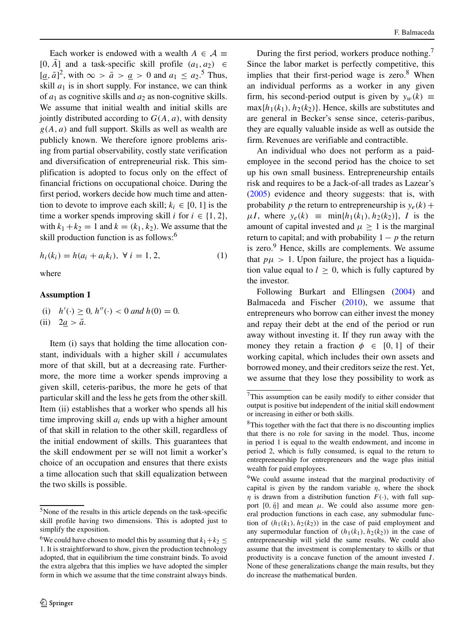Each worker is endowed with a wealth  $A \in \mathcal{A}$  $[0, \overline{A}]$  and a task-specific skill profile  $(a_1, a_2) \in$  $[\underline{a}, \bar{a}]^2$ , with  $\infty > \bar{a} > \underline{a} > 0$  and  $a_1 \le a_2$ .<sup>[5](#page-4-0)</sup> Thus, skill  $a_1$  is in short supply. For instance, we can think of  $a_1$  as cognitive skills and  $a_2$  as non-cognitive skills. We assume that initial wealth and initial skills are jointly distributed according to  $G(A, a)$ , with density  $g(A, a)$  and full support. Skills as well as wealth are publicly known. We therefore ignore problems arising from partial observability, costly state verification and diversification of entrepreneurial risk. This simplification is adopted to focus only on the effect of financial frictions on occupational choice. During the first period, workers decide how much time and attention to devote to improve each skill;  $k_i \in [0, 1]$  is the time a worker spends improving skill *i* for  $i \in \{1, 2\}$ , with  $k_1 + k_2 = 1$  and  $k = (k_1, k_2)$ . We assume that the skill production function is as follows:<sup>[6](#page-4-1)</sup>

$$
h_i(k_i) = h(a_i + a_i k_i), \ \forall \ i = 1, 2,
$$
 (1)

where

#### **Assumption 1**

(i) 
$$
h'(\cdot) \ge 0
$$
,  $h''(\cdot) < 0$  and  $h(0) = 0$ .  
(ii)  $2\underline{a} > \overline{a}$ .

Item (i) says that holding the time allocation constant, individuals with a higher skill *i* accumulates more of that skill, but at a decreasing rate. Furthermore, the more time a worker spends improving a given skill, ceteris-paribus, the more he gets of that particular skill and the less he gets from the other skill. Item (ii) establishes that a worker who spends all his time improving skill *ai* ends up with a higher amount of that skill in relation to the other skill, regardless of the initial endowment of skills. This guarantees that the skill endowment per se will not limit a worker's choice of an occupation and ensures that there exists a time allocation such that skill equalization between the two skills is possible.

During the first period, workers produce nothing.<sup>7</sup> Since the labor market is perfectly competitive, this implies that their first-period wage is zero. $8$  When an individual performs as a worker in any given firm, his second-period output is given by  $y_w(k) \equiv$  $\max\{h_1(k_1), h_2(k_2)\}\$ . Hence, skills are substitutes and are general in Becker's sense since, ceteris-paribus, they are equally valuable inside as well as outside the firm. Revenues are verifiable and contractible.

An individual who does not perform as a paidemployee in the second period has the choice to set up his own small business. Entrepreneurship entails risk and requires to be a Jack-of-all trades as Lazear's [\(2005\)](#page-16-1) evidence and theory suggests: that is, with probability *p* the return to entrepreneurship is  $y_e(k)$  +  $\mu I$ , where  $y_e(k) \equiv \min\{h_1(k_1), h_2(k_2)\}, I$  is the amount of capital invested and  $\mu > 1$  is the marginal return to capital; and with probability  $1 - p$  the return is zero. $9$  Hence, skills are complements. We assume that  $p\mu > 1$ . Upon failure, the project has a liquidation value equal to  $l \geq 0$ , which is fully captured by the investor.

Following Burkart and Ellingsen [\(2004\)](#page-15-6) and Balmaceda and Fischer [\(2010\)](#page-15-7), we assume that entrepreneurs who borrow can either invest the money and repay their debt at the end of the period or run away without investing it. If they run away with the money they retain a fraction  $\phi \in [0, 1]$  of their working capital, which includes their own assets and borrowed money, and their creditors seize the rest. Yet, we assume that they lose they possibility to work as

<span id="page-4-0"></span><sup>5</sup>None of the results in this article depends on the task-specific skill profile having two dimensions. This is adopted just to simplify the exposition.

<span id="page-4-1"></span><sup>&</sup>lt;sup>6</sup>We could have chosen to model this by assuming that  $k_1 + k_2 \leq$ 1. It is straightforward to show, given the production technology adopted, that in equilibrium the time constraint binds. To avoid the extra algebra that this implies we have adopted the simpler form in which we assume that the time constraint always binds.

<span id="page-4-2"></span><sup>7</sup>This assumption can be easily modify to either consider that output is positive but independent of the initial skill endowment or increasing in either or both skills.

<span id="page-4-3"></span><sup>8</sup>This together with the fact that there is no discounting implies that there is no role for saving in the model. Thus, income in period 1 is equal to the wealth endowment, and income in period 2, which is fully consumed, is equal to the return to entrepreneurship for entrepreneurs and the wage plus initial wealth for paid employees.

<span id="page-4-4"></span><sup>&</sup>lt;sup>9</sup>We could assume instead that the marginal productivity of capital is given by the random variable  $\eta$ , where the shock *η* is drawn from a distribution function  $F(\cdot)$ , with full support  $[0, \bar{\eta}]$  and mean  $\mu$ . We could also assume more general production functions in each case, any submodular function of  $(h_1(k_1), h_2(k_2))$  in the case of paid employment and any supermodular function of  $(h_1(k_1), h_2(k_2))$  in the case of entrepreneurship will yield the same results. We could also assume that the investment is complementary to skills or that productivity is a concave function of the amount invested *I* . None of these generalizations change the main results, but they do increase the mathematical burden.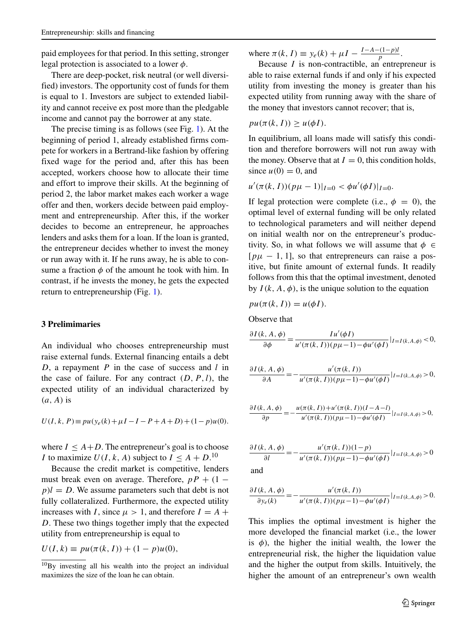paid employees for that period. In this setting, stronger legal protection is associated to a lower *φ*.

There are deep-pocket, risk neutral (or well diversified) investors. The opportunity cost of funds for them is equal to 1. Investors are subject to extended liability and cannot receive ex post more than the pledgable income and cannot pay the borrower at any state.

The precise timing is as follows (see Fig. [1\)](#page-6-1). At the beginning of period 1, already established firms compete for workers in a Bertrand-like fashion by offering fixed wage for the period and, after this has been accepted, workers choose how to allocate their time and effort to improve their skills. At the beginning of period 2, the labor market makes each worker a wage offer and then, workers decide between paid employment and entrepreneurship. After this, if the worker decides to become an entrepreneur, he approaches lenders and asks them for a loan. If the loan is granted, the entrepreneur decides whether to invest the money or run away with it. If he runs away, he is able to consume a fraction  $\phi$  of the amount he took with him. In contrast, if he invests the money, he gets the expected return to entrepreneurship (Fig. [1\)](#page-6-1).

#### <span id="page-5-0"></span>**3 Prelimimaries**

An individual who chooses entrepreneurship must raise external funds. External financing entails a debt *D*, a repayment *P* in the case of success and *l* in the case of failure. For any contract  $(D, P, l)$ , the expected utility of an individual characterized by *(a, A)* is

$$
U(I, k, P) \equiv pu(y_e(k) + \mu I - I - P + A + D) + (1 - p)u(0).
$$

where  $I \leq A + D$ . The entrepreneur's goal is to choose *I* to maximize  $U(I, k, A)$  subject to  $I \leq A + D$ .<sup>[10](#page-5-1)</sup>

Because the credit market is competitive, lenders must break even on average. Therefore,  $pP + (1$  $p$ <sup> $l = D$ </sup>. We assume parameters such that debt is not fully collateralized. Furthermore, the expected utility increases with *I*, since  $\mu > 1$ , and therefore  $I = A +$ *D*. These two things together imply that the expected utility from entrepreneurship is equal to

$$
U(I, k) \equiv pu(\pi(k, I)) + (1 - p)u(0),
$$

where  $\pi(k, I) \equiv y_e(k) + \mu I - \frac{I - A - (1 - p)l}{p}$ .

Because  $I$  is non-contractible, an entrepreneur is able to raise external funds if and only if his expected utility from investing the money is greater than his expected utility from running away with the share of the money that investors cannot recover; that is,

$$
pu(\pi(k, I)) \ge u(\phi I).
$$

In equilibrium, all loans made will satisfy this condition and therefore borrowers will not run away with the money. Observe that at  $I = 0$ , this condition holds, since  $u(0) = 0$ , and

$$
u'(\pi(k, I))(p\mu - 1)|_{I=0} < \phi u'(\phi I)|_{I=0}.
$$

If legal protection were complete (i.e.,  $\phi = 0$ ), the optimal level of external funding will be only related to technological parameters and will neither depend on initial wealth nor on the entrepreneur's productivity. So, in what follows we will assume that  $\phi \in$  $[p\mu - 1, 1]$ , so that entrepreneurs can raise a positive, but finite amount of external funds. It readily follows from this that the optimal investment, denoted by  $I(k, A, \phi)$ , is the unique solution to the equation

$$
pu(\pi(k, I)) = u(\phi I).
$$

Observe that

$$
\frac{\partial I(k, A, \phi)}{\partial \phi} = \frac{I u'(\phi I)}{u'(\pi(k, I))(p\mu - 1) - \phi u'(\phi I)}|_{I = I(k, A, \phi)} < 0,
$$

$$
\frac{\partial I(k, A, \phi)}{\partial A} = -\frac{u'(\pi(k, I))}{u'(\pi(k, I))(\rho\mu - 1) - \phi u'(\phi I)}|_{I = I(k, A, \phi)} > 0,
$$

$$
\frac{\partial I(k, A, \phi)}{\partial p} = -\frac{u(\pi(k, I)) + u'(\pi(k, I))(I - A - I)}{u'(\pi(k, I))(p\mu - 1) - \phi u'(\phi I)}|_{I = I(k, A, \phi)} > 0,
$$

$$
\frac{\partial I(k, A, \phi)}{\partial l} = -\frac{u'(\pi(k, I))(1 - p)}{u'(\pi(k, I))(p\mu - 1) - \phi u'(\phi I)} |_{I = I(k, A, \phi)} > 0
$$
  
and

$$
\frac{\partial I(k, A, \phi)}{\partial y_{\epsilon}(k)} = -\frac{u'(\pi(k, I))}{u'(\pi(k, I))(\rho\mu - 1) - \phi u'(\phi I)}|_{I = I(k, A, \phi)} > 0.
$$

This implies the optimal investment is higher the more developed the financial market (i.e., the lower is  $\phi$ ), the higher the initial wealth, the lower the entrepreneurial risk, the higher the liquidation value and the higher the output from skills. Intuitively, the higher the amount of an entrepreneur's own wealth

<span id="page-5-1"></span> $10By$  investing all his wealth into the project an individual maximizes the size of the loan he can obtain.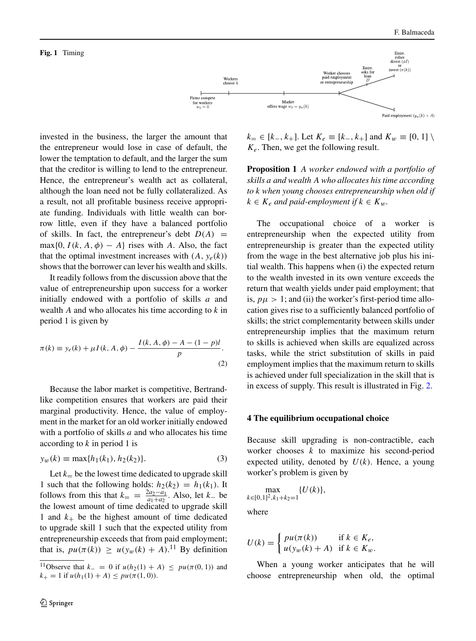#### <span id="page-6-1"></span>**Fig. 1** Timing



invested in the business, the larger the amount that the entrepreneur would lose in case of default, the lower the temptation to default, and the larger the sum that the creditor is willing to lend to the entrepreneur. Hence, the entrepreneur's wealth act as collateral, although the loan need not be fully collateralized. As a result, not all profitable business receive appropriate funding. Individuals with little wealth can borrow little, even if they have a balanced portfolio of skills. In fact, the entrepreneur's debt  $D(A)$  =  $max\{0, I(k, A, \phi) - A\}$  rises with *A*. Also, the fact that the optimal investment increases with  $(A, y_e(k))$ shows that the borrower can lever his wealth and skills.

It readily follows from the discussion above that the value of entrepreneurship upon success for a worker initially endowed with a portfolio of skills *a* and wealth *A* and who allocates his time according to *k* in period 1 is given by

$$
\pi(k) \equiv y_e(k) + \mu I(k, A, \phi) - \frac{I(k, A, \phi) - A - (1 - p)l}{p}.
$$
\n(2)

Because the labor market is competitive, Bertrandlike competition ensures that workers are paid their marginal productivity. Hence, the value of employment in the market for an old worker initially endowed with a portfolio of skills *a* and who allocates his time according to *k* in period 1 is

$$
y_w(k) \equiv \max\{h_1(k_1), h_2(k_2)\}.
$$
 (3)

Let  $k_{\text{}}$  be the lowest time dedicated to upgrade skill 1 such that the following holds:  $h_2(k_2) = h_1(k_1)$ . It follows from this that  $k = \frac{2a_2 - a_1}{a_1 + a_2}$ . Also, let  $k = \log a_1 + a_2$ . the lowest amount of time dedicated to upgrade skill 1 and  $k_{+}$  be the highest amount of time dedicated to upgrade skill 1 such that the expected utility from entrepreneurship exceeds that from paid employment; that is,  $pu(\pi(k)) \ge u(y_w(k) + A)^{11}$  $pu(\pi(k)) \ge u(y_w(k) + A)^{11}$  $pu(\pi(k)) \ge u(y_w(k) + A)^{11}$  By definition

 $k = \{k_-, k_+\}$ . Let  $K_e \equiv [k_-, k_+]$  and  $K_w \equiv [0, 1] \setminus$ *Ke*. Then, we get the following result.

**Proposition 1** *A worker endowed with a portfolio of skills a and wealth A who allocates his time according to k when young chooses entrepreneurship when old if*  $k \in K_e$  *and paid-employment if*  $k \in K_w$ *.* 

The occupational choice of a worker is entrepreneurship when the expected utility from entrepreneurship is greater than the expected utility from the wage in the best alternative job plus his initial wealth. This happens when (i) the expected return to the wealth invested in its own venture exceeds the return that wealth yields under paid employment; that is,  $p\mu > 1$ ; and (ii) the worker's first-period time allocation gives rise to a sufficiently balanced portfolio of skills; the strict complementarity between skills under entrepreneurship implies that the maximum return to skills is achieved when skills are equalized across tasks, while the strict substitution of skills in paid employment implies that the maximum return to skills is achieved under full specialization in the skill that is in excess of supply. This result is illustrated in Fig. [2.](#page-7-0)

#### <span id="page-6-0"></span>**4 The equilibrium occupational choice**

Because skill upgrading is non-contractible, each worker chooses *k* to maximize his second-period expected utility, denoted by  $U(k)$ . Hence, a young worker's problem is given by

$$
\max_{k \in [0,1]^2, k_1 + k_2 = 1} \{U(k)\},\
$$

where

$$
U(k) = \begin{cases} pu(\pi(k)) & \text{if } k \in K_e, \\ u(y_w(k) + A) & \text{if } k \in K_w. \end{cases}
$$

When a young worker anticipates that he will choose entrepreneurship when old, the optimal

<span id="page-6-2"></span><sup>&</sup>lt;sup>11</sup>Observe that  $k_− = 0$  if  $u(h_2(1) + A) ≤ pu(\pi(0, 1))$  and  $k_{+} = 1$  if  $u(h_1(1) + A) \leq pu(\pi(1, 0)).$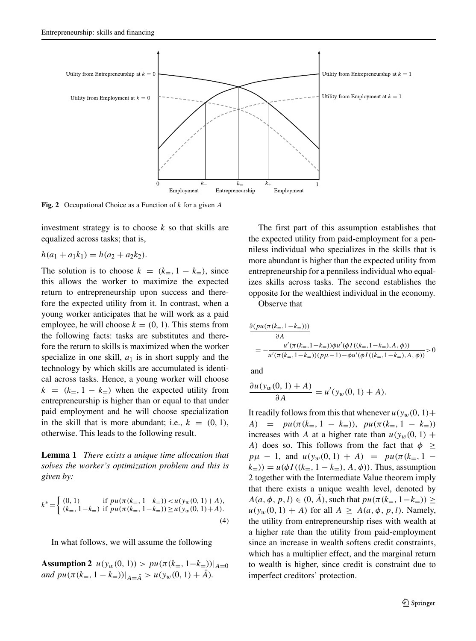<span id="page-7-0"></span>

**Fig. 2** Occupational Choice as a Function of *k* for a given *A*

investment strategy is to choose *k* so that skills are equalized across tasks; that is,

$$
h(a_1 + a_1k_1) = h(a_2 + a_2k_2).
$$

The solution is to choose  $k = (k_-, 1 - k_-)$ , since this allows the worker to maximize the expected return to entrepreneurship upon success and therefore the expected utility from it. In contrast, when a young worker anticipates that he will work as a paid employee, he will choose  $k = (0, 1)$ . This stems from the following facts: tasks are substitutes and therefore the return to skills is maximized when the worker specialize in one skill,  $a_1$  is in short supply and the technology by which skills are accumulated is identical across tasks. Hence, a young worker will choose  $k = (k_-, 1 - k_-)$  when the expected utility from entrepreneurship is higher than or equal to that under paid employment and he will choose specialization in the skill that is more abundant; i.e.,  $k = (0, 1)$ , otherwise. This leads to the following result.

**Lemma 1** *There exists a unique time allocation that solves the worker's optimization problem and this is given by:*

$$
k^* = \begin{cases} (0, 1) & \text{if } pu(\pi(k_-, 1 - k_-)) < u(y_w(0, 1) + A), \\ (k_-, 1 - k_-) & \text{if } pu(\pi(k_-, 1 - k_-)) \ge u(y_w(0, 1) + A). \end{cases}
$$
(4)

In what follows, we will assume the following

**Assumption 2**  $u(y_w(0, 1)) > pu(\pi(k_-, 1-k_-))|_{A=0}$ *and*  $pu(\pi(k_=, 1 - k_=))|_{A = \bar{A}} > u(y_w(0, 1) + A)$ .

The first part of this assumption establishes that the expected utility from paid-employment for a penniless individual who specializes in the skills that is more abundant is higher than the expected utility from entrepreneurship for a penniless individual who equalizes skills across tasks. The second establishes the opposite for the wealthiest individual in the economy.

Observe that

$$
\begin{aligned} &\frac{\partial (p u(\pi(k_=,1-k_=)))}{\partial A} \\&=-\frac{u'(\pi(k_=,1-k_=))\phi u'(\phi I((k_=,1-k_=),A,\phi))}{u'(\pi(k_=,1-k_=)) (p\mu-1)-\phi u'(\phi I((k_=,1-k_=),A,\phi))} > 0 \end{aligned}
$$

and

$$
\frac{\partial u(y_w(0,1) + A)}{\partial A} = u'(y_w(0,1) + A).
$$

It readily follows from this that whenever  $u(y_w(0, 1) +$ *A*) =  $pu(\pi(k_-, 1 - k_-)), pu(\pi(k_-, 1 - k_-))$ increases with *A* at a higher rate than  $u(y_w(0, 1) +$ *A)* does so. This follows from the fact that  $\phi \geq$  $p\mu - 1$ , and  $u(y_w(0, 1) + A) = pu(\pi(k_-, 1 (k=)) = u(\phi I((k=1-k=), A, \phi))$ . Thus, assumption 2 together with the Intermediate Value theorem imply that there exists a unique wealth level, denoted by  $A(a, \phi, p, l) \in (0, A)$ , such that  $pu(\pi(k_-, 1-k_-))$  >  $u(y_w(0, 1) + A)$  for all  $A > A(a, \phi, p, l)$ . Namely, the utility from entrepreneurship rises with wealth at a higher rate than the utility from paid-employment since an increase in wealth softens credit constraints, which has a multiplier effect, and the marginal return to wealth is higher, since credit is constraint due to imperfect creditors' protection.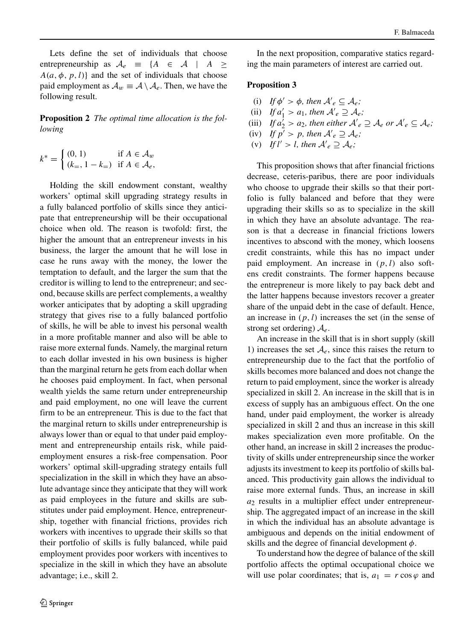Lets define the set of individuals that choose entrepreneurship as  $A_e \equiv \{A \in \mathcal{A} \mid A \geq A\}$  $A(a, \phi, p, l)$ } and the set of individuals that choose paid employment as  $A_w \equiv A \setminus A_e$ . Then, we have the following result.

**Proposition 2** *The optimal time allocation is the following*

$$
k^* = \begin{cases} (0,1) & \text{if } A \in \mathcal{A}_w \\ (k_-, 1 - k_-) & \text{if } A \in \mathcal{A}_e, \end{cases}
$$

Holding the skill endowment constant, wealthy workers' optimal skill upgrading strategy results in a fully balanced portfolio of skills since they anticipate that entrepreneurship will be their occupational choice when old. The reason is twofold: first, the higher the amount that an entrepreneur invests in his business, the larger the amount that he will lose in case he runs away with the money, the lower the temptation to default, and the larger the sum that the creditor is willing to lend to the entrepreneur; and second, because skills are perfect complements, a wealthy worker anticipates that by adopting a skill upgrading strategy that gives rise to a fully balanced portfolio of skills, he will be able to invest his personal wealth in a more profitable manner and also will be able to raise more external funds. Namely, the marginal return to each dollar invested in his own business is higher than the marginal return he gets from each dollar when he chooses paid employment. In fact, when personal wealth yields the same return under entrepreneurship and paid employment, no one will leave the current firm to be an entrepreneur. This is due to the fact that the marginal return to skills under entrepreneurship is always lower than or equal to that under paid employment and entrepreneurship entails risk, while paidemployment ensures a risk-free compensation. Poor workers' optimal skill-upgrading strategy entails full specialization in the skill in which they have an absolute advantage since they anticipate that they will work as paid employees in the future and skills are substitutes under paid employment. Hence, entrepreneurship, together with financial frictions, provides rich workers with incentives to upgrade their skills so that their portfolio of skills is fully balanced, while paid employment provides poor workers with incentives to specialize in the skill in which they have an absolute advantage; i.e., skill 2.

In the next proposition, comparative statics regarding the main parameters of interest are carried out.

#### **Proposition 3**

- (i) If  $\phi' > \phi$ , then  $A'_e \subseteq A_e$ ;
- (ii) If  $a'_1 > a_1$ , then  $A'_e \supseteq A_e$ ;
- (iii) *If*  $a'_2 > a_2$ , then either  $A'_e \supseteq A_e$  or  $A'_e \subseteq A_e$ ;
- (iv) If  $p' > p$ , then  $A'_e \supseteq A_e$ ,
- (v) If  $l' > l$ , then  $A'_e \supseteq A_e$ ;

This proposition shows that after financial frictions decrease, ceteris-paribus, there are poor individuals who choose to upgrade their skills so that their portfolio is fully balanced and before that they were upgrading their skills so as to specialize in the skill in which they have an absolute advantage. The reason is that a decrease in financial frictions lowers incentives to abscond with the money, which loosens credit constraints, while this has no impact under paid employment. An increase in *(p, l)* also softens credit constraints. The former happens because the entrepreneur is more likely to pay back debt and the latter happens because investors recover a greater share of the unpaid debt in the case of default. Hence, an increase in  $(p, l)$  increases the set (in the sense of strong set ordering) A*e*.

An increase in the skill that is in short supply (skill 1) increases the set  $A_e$ , since this raises the return to entrepreneurship due to the fact that the portfolio of skills becomes more balanced and does not change the return to paid employment, since the worker is already specialized in skill 2. An increase in the skill that is in excess of supply has an ambiguous effect. On the one hand, under paid employment, the worker is already specialized in skill 2 and thus an increase in this skill makes specialization even more profitable. On the other hand, an increase in skill 2 increases the productivity of skills under entrepreneurship since the worker adjusts its investment to keep its portfolio of skills balanced. This productivity gain allows the individual to raise more external funds. Thus, an increase in skill *a*<sup>2</sup> results in a multiplier effect under entrepreneurship. The aggregated impact of an increase in the skill in which the individual has an absolute advantage is ambiguous and depends on the initial endowment of skills and the degree of financial development *φ*.

To understand how the degree of balance of the skill portfolio affects the optimal occupational choice we will use polar coordinates; that is,  $a_1 = r \cos \varphi$  and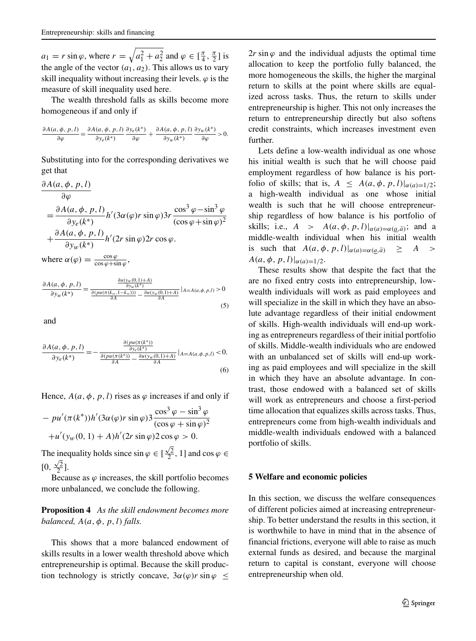$a_1 = r \sin \varphi$ , where  $r = \sqrt{a_1^2 + a_2^2}$  and  $\varphi \in \left[\frac{\pi}{4}, \frac{\pi}{2}\right]$  is the angle of the vector  $(a_1, a_2)$ . This allows us to vary skill inequality without increasing their levels.  $\varphi$  is the measure of skill inequality used here.

The wealth threshold falls as skills become more homogeneous if and only if

$$
\frac{\partial A(a,\phi,p,l)}{\partial \varphi} = \frac{\partial A(a,\phi,p,l)}{\partial y_e(k^*)} \frac{\partial y_e(k^*)}{\partial \varphi} + \frac{\partial A(a,\phi,p,l)}{\partial y_w(k^*)} \frac{\partial y_w(k^*)}{\partial \varphi} > 0.
$$

Substituting into for the corresponding derivatives we get that

$$
\frac{\partial A(a, \phi, p, l)}{\partial \varphi} \n= \frac{\partial A(a, \phi, p, l)}{\partial y_e(k^*)} h'(3\alpha(\varphi)r \sin \varphi) 3r \frac{\cos^3 \varphi - \sin^3 \varphi}{(\cos \varphi + \sin \varphi)^2} \n+ \frac{\partial A(a, \phi, p, l)}{\partial y_w(k^*)} h'(2r \sin \varphi) 2r \cos \varphi.
$$
\nwhere  $\alpha(\varphi) = \frac{\cos \varphi}{\cos \varphi + \sin \varphi}$ ,

$$
\frac{\partial A(a,\phi,p,l)}{\partial y_w(k^*)} = \frac{\frac{\partial u(y_w(0,1)+A)}{\partial y_w(k^*)}}{\frac{\partial (pu(\pi(k_{-1}-k_{-})))}{\partial A} - \frac{\partial u(y_w(0,1)+A)}{\partial A}} |A=A(a,\phi,p,l) > 0
$$
\n(5)

and

$$
\frac{\partial A(a,\phi,p,l)}{\partial y_e(k^*)} = -\frac{\frac{\partial (pu(\pi(k^*))}{\partial y_e(k^*)}}{\frac{\partial (pu(\pi(k^*))}{\partial A} - \frac{\partial u(y_w(0,1)+A)}{\partial A})}|_{A=A(a,\phi,p,l)} < 0.
$$
\n(6)

Hence,  $A(a, \phi, p, l)$  rises as  $\phi$  increases if and only if

$$
- pu'(\pi(k^*))h'(3\alpha(\varphi)r\sin\varphi)3\frac{\cos^3\varphi - \sin^3\varphi}{(\cos\varphi + \sin\varphi)^2} + u'(y_w(0, 1) + A)h'(2r\sin\varphi)2\cos\varphi > 0.
$$

The inequality holds since  $\sin \varphi \in [\frac{\sqrt{2}}{2}, 1]$  and  $\cos \varphi \in$  $[0, \frac{\sqrt{2}}{2}].$ 

Because as  $\varphi$  increases, the skill portfolio becomes more unbalanced, we conclude the following.

**Proposition 4** *As the skill endowment becomes more balanced,*  $A(a, \phi, p, l)$  *falls.* 

This shows that a more balanced endowment of skills results in a lower wealth threshold above which entrepreneurship is optimal. Because the skill production technology is strictly concave,  $3\alpha(\varphi)r\sin\varphi \leq$ 

 $2r \sin \varphi$  and the individual adjusts the optimal time allocation to keep the portfolio fully balanced, the more homogeneous the skills, the higher the marginal return to skills at the point where skills are equalized across tasks. Thus, the return to skills under entrepreneurship is higher. This not only increases the return to entrepreneurship directly but also softens credit constraints, which increases investment even further.

Lets define a low-wealth individual as one whose his initial wealth is such that he will choose paid employment regardless of how balance is his portfolio of skills; that is,  $A \leq A(a, \phi, p, l)|_{\alpha(a)=1/2}$ ; a high-wealth individual as one whose initial wealth is such that he will choose entrepreneurship regardless of how balance is his portfolio of skills; i.e.,  $A > A(a, \phi, p, l)|_{\alpha(a) = \alpha(a, \bar{a})}$ ; and a middle-wealth individual when his initial wealth is such that  $A(a, \phi, p, l)|_{\alpha(a) = \alpha(a, \bar{a})} \geq A$  $A(a, \phi, p, l)|_{\alpha(a)=1/2}.$ 

These results show that despite the fact that the are no fixed entry costs into entrepreneurship, lowwealth individuals will work as paid employees and will specialize in the skill in which they have an absolute advantage regardless of their initial endowment of skills. High-wealth individuals will end-up working as entrepreneurs regardless of their initial portfolio of skills. Middle-wealth individuals who are endowed with an unbalanced set of skills will end-up working as paid employees and will specialize in the skill in which they have an absolute advantage. In contrast, those endowed with a balanced set of skills will work as entrepreneurs and choose a first-period time allocation that equalizes skills across tasks. Thus, entrepreneurs come from high-wealth individuals and middle-wealth individuals endowed with a balanced portfolio of skills.

#### <span id="page-9-0"></span>**5 Welfare and economic policies**

In this section, we discuss the welfare consequences of different policies aimed at increasing entrepreneurship. To better understand the results in this section, it is worthwhile to have in mind that in the absence of financial frictions, everyone will able to raise as much external funds as desired, and because the marginal return to capital is constant, everyone will choose entrepreneurship when old.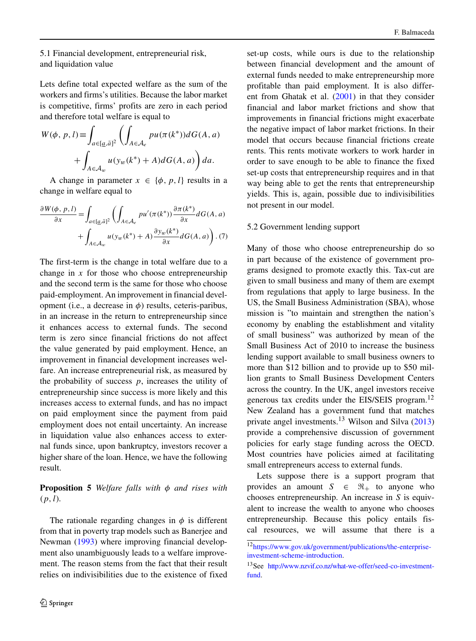5.1 Financial development, entrepreneurial risk, and liquidation value

Lets define total expected welfare as the sum of the workers and firms's utilities. Because the labor market is competitive, firms' profits are zero in each period and therefore total welfare is equal to

$$
W(\phi, p, l) \equiv \int_{a \in [\underline{a}, \bar{a}]^2} \left( \int_{A \in \mathcal{A}_e} p u(\pi(k^*)) dG(A, a) + \int_{A \in \mathcal{A}_w} u(y_w(k^*) + A) dG(A, a) \right) da.
$$

A change in parameter  $x \in \{\phi, p, l\}$  results in a change in welfare equal to

$$
\frac{\partial W(\phi, p, l)}{\partial x} = \int_{a \in [\underline{a}, \bar{a}]^2} \left( \int_{A \in \mathcal{A}_{\epsilon}} p u'(\pi(k^*)) \frac{\partial \pi(k^*)}{\partial x} dG(A, a) + \int_{A \in \mathcal{A}_{w}} u(y_w(k^*) + A) \frac{\partial y_w(k^*)}{\partial x} dG(A, a) \right). (7)
$$

The first-term is the change in total welfare due to a change in  $x$  for those who choose entrepreneurship and the second term is the same for those who choose paid-employment. An improvement in financial development (i.e., a decrease in *φ*) results, ceteris-paribus, in an increase in the return to entrepreneurship since it enhances access to external funds. The second term is zero since financial frictions do not affect the value generated by paid employment. Hence, an improvement in financial development increases welfare. An increase entrepreneurial risk, as measured by the probability of success  $p$ , increases the utility of entrepreneurship since success is more likely and this increases access to external funds, and has no impact on paid employment since the payment from paid employment does not entail uncertainty. An increase in liquidation value also enhances access to external funds since, upon bankruptcy, investors recover a higher share of the loan. Hence, we have the following result.

#### **Proposition 5** *Welfare falls with φ and rises with (p, l).*

The rationale regarding changes in  $\phi$  is different from that in poverty trap models such as Banerjee and Newman [\(1993\)](#page-15-1) where improving financial development also unambiguously leads to a welfare improvement. The reason stems from the fact that their result relies on indivisibilities due to the existence of fixed

set-up costs, while ours is due to the relationship between financial development and the amount of external funds needed to make entrepreneurship more profitable than paid employment. It is also different from Ghatak et al. [\(2001\)](#page-16-4) in that they consider financial and labor market frictions and show that improvements in financial frictions might exacerbate the negative impact of labor market frictions. In their model that occurs because financial frictions create rents. This rents motivate workers to work harder in order to save enough to be able to finance the fixed set-up costs that entrepreneurship requires and in that way being able to get the rents that entrepreneurship yields. This is, again, possible due to indivisibilities not present in our model.

#### 5.2 Government lending support

Many of those who choose entrepreneurship do so in part because of the existence of government programs designed to promote exactly this. Tax-cut are given to small business and many of them are exempt from regulations that apply to large business. In the US, the Small Business Administration (SBA), whose mission is "to maintain and strengthen the nation's economy by enabling the establishment and vitality of small business" was authorized by mean of the Small Business Act of 2010 to increase the business lending support available to small business owners to more than \$12 billion and to provide up to \$50 million grants to Small Business Development Centers across the country. In the UK, angel investors receive generous tax credits under the EIS/SEIS program.[12](#page-10-0) New Zealand has a government fund that matches private angel investments.<sup>[13](#page-10-1)</sup> Wilson and Silva  $(2013)$ provide a comprehensive discussion of government policies for early stage funding across the OECD. Most countries have policies aimed at facilitating small entrepreneurs access to external funds.

Lets suppose there is a support program that provides an amount  $S \in \mathbb{R}_+$  to anyone who chooses entrepreneurship. An increase in *S* is equivalent to increase the wealth to anyone who chooses entrepreneurship. Because this policy entails fiscal resources, we will assume that there is a

<span id="page-10-0"></span><sup>1</sup>[2https://www.gov.uk/government/publications/the-enterprise](https://www.gov.uk/government/publications/the-enterprise-investment-scheme-introduction)[investment-scheme-introduction.](https://www.gov.uk/government/publications/the-enterprise-investment-scheme-introduction)

<span id="page-10-1"></span><sup>13</sup>See [http://www.nzvif.co.nz/what-we-offer/seed-co-investment](http://www.nzvif.co.nz/what-we-offer/seed-co-investment-fund)[fund.](http://www.nzvif.co.nz/what-we-offer/seed-co-investment-fund)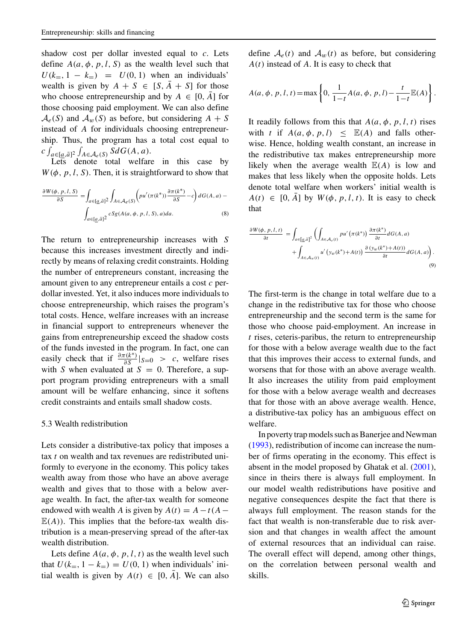shadow cost per dollar invested equal to *c*. Lets define  $A(a, \phi, p, l, S)$  as the wealth level such that  $U(k_-, 1 - k_-) = U(0, 1)$  when an individuals' wealth is given by  $A + S \in [S, \overline{A} + S]$  for those who choose entrepreneurship and by  $A \in [0, A]$  for those choosing paid employment. We can also define  $\mathcal{A}_{e}(S)$  and  $\mathcal{A}_{w}(S)$  as before, but considering  $A + S$ instead of *A* for individuals choosing entrepreneurship. Thus, the program has a total cost equal to  $c \int_{a \in [a,\bar{a}]^2} \int_{A \in \mathcal{A}_e(S)} S dG(A, a)$ .<br>
Lets denote total welfare in this case by

 $W(\phi, p, l, S)$ . Then, it is straightforward to show that

$$
\frac{\partial W(\phi, p, l, S)}{\partial S} = \int_{a \in [\underline{a}, \overline{a}]^2} \int_{A \in \mathcal{A}_{e}(S)} \left( pu'(\pi(k^*)) \frac{\partial \pi(k^*)}{\partial S} - c \right) dG(A, a) - \int_{a \in [\underline{a}, \overline{a}]^2} cSg(A(a, \phi, p, l, S), a) da. \tag{8}
$$

The return to entrepreneurship increases with *S* because this increases investment directly and indirectly by means of relaxing credit constraints. Holding the number of entrepreneurs constant, increasing the amount given to any entrepreneur entails a cost *c* perdollar invested. Yet, it also induces more individuals to choose entrepreneurship, which raises the program's total costs. Hence, welfare increases with an increase in financial support to entrepreneurs whenever the gains from entrepreneurship exceed the shadow costs of the funds invested in the program. In fact, one can easily check that if  $\frac{\partial \pi(k^*)}{\partial S}|_{S=0} > c$ , welfare rises with *S* when evaluated at  $S = 0$ . Therefore, a support program providing entrepreneurs with a small amount will be welfare enhancing, since it softens credit constraints and entails small shadow costs.

#### 5.3 Wealth redistribution

Lets consider a distributive-tax policy that imposes a tax *t* on wealth and tax revenues are redistributed uniformly to everyone in the economy. This policy takes wealth away from those who have an above average wealth and gives that to those with a below average wealth. In fact, the after-tax wealth for someone endowed with wealth *A* is given by  $A(t) = A - t(A - t)$  $E(A)$ ). This implies that the before-tax wealth distribution is a mean-preserving spread of the after-tax wealth distribution.

Lets define  $A(a, \phi, p, l, t)$  as the wealth level such that  $U(k_-, 1 - k_-) = U(0, 1)$  when individuals' initial wealth is given by  $A(t) \in [0, \overline{A}]$ . We can also define  $A_e(t)$  and  $A_w(t)$  as before, but considering *A(t)* instead of *A*. It is easy to check that

$$
A(a, \phi, p, l, t) = \max \left\{ 0, \frac{1}{1-t} A(a, \phi, p, l) - \frac{t}{1-t} \mathbb{E}(A) \right\}.
$$

It readily follows from this that  $A(a, \phi, p, l, t)$  rises with *t* if  $A(a, \phi, p, l) \leq \mathbb{E}(A)$  and falls otherwise. Hence, holding wealth constant, an increase in the redistributive tax makes entrepreneurship more likely when the average wealth  $E(A)$  is low and makes that less likely when the opposite holds. Lets denote total welfare when workers' initial wealth is  $A(t) \in [0, A]$  by  $W(\phi, p, l, t)$ . It is easy to check that

$$
\frac{\partial W(\phi, p, l, t)}{\partial t} = \int_{a \in [\underline{a}, \bar{a}]^2} \left( \int_{A \in \mathcal{A}_e(t)} p u' \left( \pi(k^*) \right) \frac{\partial \pi(k^*)}{\partial t} dG(A, a) + \int_{A \in \mathcal{A}_w(t)} u' \left( y_w(k^*) + A(t) \right) \frac{\partial \left( y_w(k^*) + A(t) \right)}{\partial t} dG(A, a) \right).
$$
\n(9)

The first-term is the change in total welfare due to a change in the redistributive tax for those who choose entrepreneurship and the second term is the same for those who choose paid-employment. An increase in *t* rises, ceteris-paribus, the return to entrepreneurship for those with a below average wealth due to the fact that this improves their access to external funds, and worsens that for those with an above average wealth. It also increases the utility from paid employment for those with a below average wealth and decreases that for those with an above average wealth. Hence, a distributive-tax policy has an ambiguous effect on welfare.

In poverty trap models such as Banerjee and Newman [\(1993\)](#page-15-1), redistribution of income can increase the number of firms operating in the economy. This effect is absent in the model proposed by Ghatak et al. [\(2001\)](#page-16-4), since in theirs there is always full employment. In our model wealth redistributions have positive and negative consequences despite the fact that there is always full employment. The reason stands for the fact that wealth is non-transferable due to risk aversion and that changes in wealth affect the amount of external resources that an individual can raise. The overall effect will depend, among other things, on the correlation between personal wealth and skills.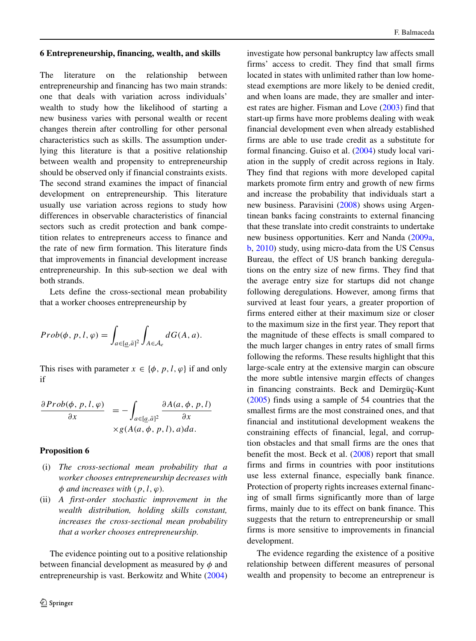#### <span id="page-12-0"></span>**6 Entrepreneurship, financing, wealth, and skills**

The literature on the relationship between entrepreneurship and financing has two main strands: one that deals with variation across individuals' wealth to study how the likelihood of starting a new business varies with personal wealth or recent changes therein after controlling for other personal characteristics such as skills. The assumption underlying this literature is that a positive relationship between wealth and propensity to entrepreneurship should be observed only if financial constraints exists. The second strand examines the impact of financial development on entrepreneurship. This literature usually use variation across regions to study how differences in observable characteristics of financial sectors such as credit protection and bank competition relates to entrepreneurs access to finance and the rate of new firm formation. This literature finds that improvements in financial development increase entrepreneurship. In this sub-section we deal with both strands.

Lets define the cross-sectional mean probability that a worker chooses entrepreneurship by

$$
Prob(\phi, p, l, \varphi) = \int_{a \in [\underline{a}, \bar{a}]^2} \int_{A \in \mathcal{A}_e} dG(A, a).
$$

This rises with parameter  $x \in {\phi, p, l, \phi}$  if and only if

$$
\frac{\partial Prob(\phi, p, l, \varphi)}{\partial x} = -\int_{a \in [\underline{a}, \overline{a}]^2} \frac{\partial A(a, \phi, p, l)}{\partial x} \times g(A(a, \phi, p, l), a) da.
$$

#### **Proposition 6**

- (i) *The cross-sectional mean probability that a worker chooses entrepreneurship decreases with*  $\phi$  *and increases with*  $(p, l, \varphi)$ *.*
- (ii) *A first-order stochastic improvement in the wealth distribution, holding skills constant, increases the cross-sectional mean probability that a worker chooses entrepreneurship.*

The evidence pointing out to a positive relationship between financial development as measured by *φ* and entrepreneurship is vast. Berkowitz and White [\(2004\)](#page-15-8) investigate how personal bankruptcy law affects small firms' access to credit. They find that small firms located in states with unlimited rather than low homestead exemptions are more likely to be denied credit, and when loans are made, they are smaller and interest rates are higher. Fisman and Love [\(2003\)](#page-16-10) find that start-up firms have more problems dealing with weak financial development even when already established firms are able to use trade credit as a substitute for formal financing. Guiso et al. [\(2004\)](#page-16-11) study local variation in the supply of credit across regions in Italy. They find that regions with more developed capital markets promote firm entry and growth of new firms and increase the probability that individuals start a new business. Paravisini [\(2008\)](#page-16-12) shows using Argentinean banks facing constraints to external financing that these translate into credit constraints to undertake new business opportunities. Kerr and Nanda [\(2009a,](#page-16-13) [b,](#page-16-14) [2010\)](#page-16-15) study, using micro-data from the US Census Bureau, the effect of US branch banking deregulations on the entry size of new firms. They find that the average entry size for startups did not change following deregulations. However, among firms that survived at least four years, a greater proportion of firms entered either at their maximum size or closer to the maximum size in the first year. They report that the magnitude of these effects is small compared to the much larger changes in entry rates of small firms following the reforms. These results highlight that this large-scale entry at the extensive margin can obscure the more subtle intensive margin effects of changes in financing constraints. Beck and Demirgüc-Kunt [\(2005\)](#page-15-9) finds using a sample of 54 countries that the smallest firms are the most constrained ones, and that financial and institutional development weakens the constraining effects of financial, legal, and corruption obstacles and that small firms are the ones that benefit the most. Beck et al. [\(2008\)](#page-15-10) report that small firms and firms in countries with poor institutions use less external finance, especially bank finance. Protection of property rights increases external financing of small firms significantly more than of large firms, mainly due to its effect on bank finance. This suggests that the return to entrepreneurship or small firms is more sensitive to improvements in financial development.

The evidence regarding the existence of a positive relationship between different measures of personal wealth and propensity to become an entrepreneur is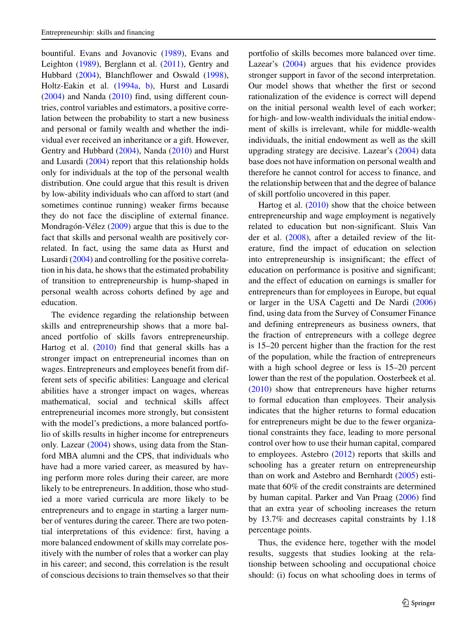bountiful. Evans and Jovanovic [\(1989\)](#page-16-6), Evans and Leighton [\(1989\)](#page-16-16), Berglann et al. [\(2011\)](#page-15-11), Gentry and Hubbard [\(2004\)](#page-16-17), Blanchflower and Oswald [\(1998\)](#page-15-12), Holtz-Eakin et al. [\(1994a,](#page-16-18) [b\)](#page-16-19), Hurst and Lusardi [\(2004\)](#page-16-20) and Nanda [\(2010\)](#page-16-21) find, using different countries, control variables and estimators, a positive correlation between the probability to start a new business and personal or family wealth and whether the individual ever received an inheritance or a gift. However, Gentry and Hubbard [\(2004\)](#page-16-17), Nanda [\(2010\)](#page-16-21) and Hurst and Lusardi [\(2004\)](#page-16-20) report that this relationship holds only for individuals at the top of the personal wealth distribution. One could argue that this result is driven by low-ability individuals who can afford to start (and sometimes continue running) weaker firms because they do not face the discipline of external finance. Mondragón-Vélez  $(2009)$  $(2009)$  argue that this is due to the fact that skills and personal wealth are positively correlated. In fact, using the same data as Hurst and Lusardi [\(2004\)](#page-16-20) and controlling for the positive correlation in his data, he shows that the estimated probability of transition to entrepreneurship is hump-shaped in personal wealth across cohorts defined by age and education.

The evidence regarding the relationship between skills and entrepreneurship shows that a more balanced portfolio of skills favors entrepreneurship. Hartog et al. [\(2010\)](#page-16-23) find that general skills has a stronger impact on entrepreneurial incomes than on wages. Entrepreneurs and employees benefit from different sets of specific abilities: Language and clerical abilities have a stronger impact on wages, whereas mathematical, social and technical skills affect entrepreneurial incomes more strongly, but consistent with the model's predictions, a more balanced portfolio of skills results in higher income for entrepreneurs only. Lazear [\(2004\)](#page-16-24) shows, using data from the Stanford MBA alumni and the CPS, that individuals who have had a more varied career, as measured by having perform more roles during their career, are more likely to be entrepreneurs. In addition, those who studied a more varied curricula are more likely to be entrepreneurs and to engage in starting a larger number of ventures during the career. There are two potential interpretations of this evidence: first, having a more balanced endowment of skills may correlate positively with the number of roles that a worker can play in his career; and second, this correlation is the result of conscious decisions to train themselves so that their

portfolio of skills becomes more balanced over time. Lazear's [\(2004\)](#page-16-24) argues that his evidence provides stronger support in favor of the second interpretation. Our model shows that whether the first or second rationalization of the evidence is correct will depend on the initial personal wealth level of each worker; for high- and low-wealth individuals the initial endowment of skills is irrelevant, while for middle-wealth individuals, the initial endowment as well as the skill upgrading strategy are decisive. Lazear's [\(2004\)](#page-16-24) data base does not have information on personal wealth and therefore he cannot control for access to finance, and the relationship between that and the degree of balance of skill portfolio uncovered in this paper.

Hartog et al. [\(2010\)](#page-16-23) show that the choice between entrepreneurship and wage employment is negatively related to education but non-significant. Sluis Van der et al. [\(2008\)](#page-16-25), after a detailed review of the literature, find the impact of education on selection into entrepreneurship is insignificant; the effect of education on performance is positive and significant; and the effect of education on earnings is smaller for entrepreneurs than for employees in Europe, but equal or larger in the USA Cagetti and De Nardi [\(2006\)](#page-15-13) find, using data from the Survey of Consumer Finance and defining entrepreneurs as business owners, that the fraction of entrepreneurs with a college degree is 15–20 percent higher than the fraction for the rest of the population, while the fraction of entrepreneurs with a high school degree or less is 15–20 percent lower than the rest of the population. Oosterbeek et al. [\(2010\)](#page-16-26) show that entrepreneurs have higher returns to formal education than employees. Their analysis indicates that the higher returns to formal education for entrepreneurs might be due to the fewer organizational constraints they face, leading to more personal control over how to use their human capital, compared to employees. Astebro [\(2012\)](#page-15-14) reports that skills and schooling has a greater return on entrepreneurship than on work and Astebro and Bernhardt [\(2005\)](#page-15-15) estimate that 60% of the credit constraints are determined by human capital. Parker and Van Praag [\(2006\)](#page-16-27) find that an extra year of schooling increases the return by 13.7% and decreases capital constraints by 1.18 percentage points.

Thus, the evidence here, together with the model results, suggests that studies looking at the relationship between schooling and occupational choice should: (i) focus on what schooling does in terms of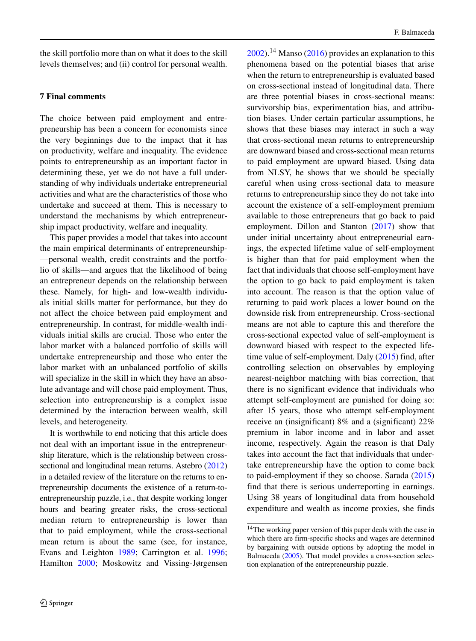the skill portfolio more than on what it does to the skill levels themselves; and (ii) control for personal wealth.

#### <span id="page-14-0"></span>**7 Final comments**

The choice between paid employment and entrepreneurship has been a concern for economists since the very beginnings due to the impact that it has on productivity, welfare and inequality. The evidence points to entrepreneurship as an important factor in determining these, yet we do not have a full understanding of why individuals undertake entrepreneurial activities and what are the characteristics of those who undertake and succeed at them. This is necessary to understand the mechanisms by which entrepreneurship impact productivity, welfare and inequality.

This paper provides a model that takes into account the main empirical determinants of entrepreneurship- —personal wealth, credit constraints and the portfolio of skills—and argues that the likelihood of being an entrepreneur depends on the relationship between these. Namely, for high- and low-wealth individuals initial skills matter for performance, but they do not affect the choice between paid employment and entrepreneurship. In contrast, for middle-wealth individuals initial skills are crucial. Those who enter the labor market with a balanced portfolio of skills will undertake entrepreneurship and those who enter the labor market with an unbalanced portfolio of skills will specialize in the skill in which they have an absolute advantage and will chose paid employment. Thus, selection into entrepreneurship is a complex issue determined by the interaction between wealth, skill levels, and heterogeneity.

It is worthwhile to end noticing that this article does not deal with an important issue in the entrepreneurship literature, which is the relationship between cross-sectional and longitudinal mean returns. Astebro [\(2012\)](#page-15-14) in a detailed review of the literature on the returns to entrepreneurship documents the existence of a return-toentrepreneurship puzzle, i.e., that despite working longer hours and bearing greater risks, the cross-sectional median return to entrepreneurship is lower than that to paid employment, while the cross-sectional mean return is about the same (see, for instance, Evans and Leighton [1989;](#page-16-16) Carrington et al. [1996;](#page-15-16) Hamilton [2000;](#page-16-28) Moskowitz and Vissing-Jørgensen  $2002$ ).<sup>[14](#page-14-1)</sup> Manso [\(2016\)](#page-16-30) provides an explanation to this phenomena based on the potential biases that arise when the return to entrepreneurship is evaluated based on cross-sectional instead of longitudinal data. There are three potential biases in cross-sectional means: survivorship bias, experimentation bias, and attribution biases. Under certain particular assumptions, he shows that these biases may interact in such a way that cross-sectional mean returns to entrepreneurship are downward biased and cross-sectional mean returns to paid employment are upward biased. Using data from NLSY, he shows that we should be specially careful when using cross-sectional data to measure returns to entrepreneurship since they do not take into account the existence of a self-employment premium available to those entrepreneurs that go back to paid employment. Dillon and Stanton [\(2017\)](#page-16-31) show that under initial uncertainty about entrepreneurial earnings, the expected lifetime value of self-employment is higher than that for paid employment when the fact that individuals that choose self-employment have the option to go back to paid employment is taken into account. The reason is that the option value of returning to paid work places a lower bound on the downside risk from entrepreneurship. Cross-sectional means are not able to capture this and therefore the cross-sectional expected value of self-employment is downward biased with respect to the expected lifetime value of self-employment. Daly [\(2015\)](#page-16-32) find, after controlling selection on observables by employing nearest-neighbor matching with bias correction, that there is no significant evidence that individuals who attempt self-employment are punished for doing so: after 15 years, those who attempt self-employment receive an (insignificant) 8% and a (significant) 22% premium in labor income and in labor and asset income, respectively. Again the reason is that Daly takes into account the fact that individuals that undertake entrepreneurship have the option to come back to paid-employment if they so choose. Sarada [\(2015\)](#page-16-33) find that there is serious underreporting in earnings. Using 38 years of longitudinal data from household expenditure and wealth as income proxies, she finds

<span id="page-14-1"></span><sup>&</sup>lt;sup>14</sup>The working paper version of this paper deals with the case in which there are firm-specific shocks and wages are determined by bargaining with outside options by adopting the model in Balmaceda [\(2005\)](#page-15-17). That model provides a cross-section selection explanation of the entrepreneurship puzzle.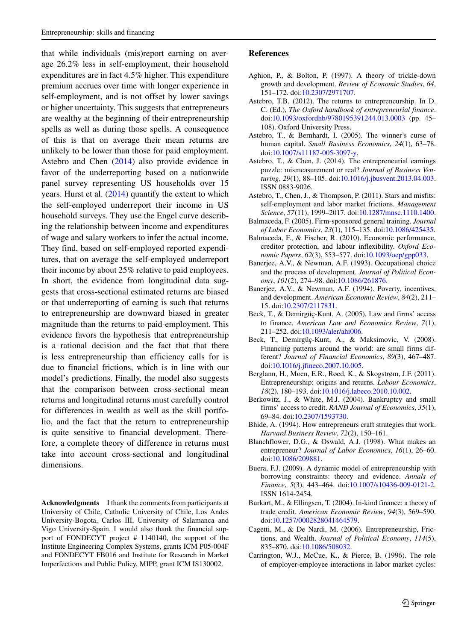that while individuals (mis)report earning on average 26.2% less in self-employment, their household expenditures are in fact 4.5% higher. This expenditure premium accrues over time with longer experience in self-employment, and is not offset by lower savings or higher uncertainty. This suggests that entrepreneurs are wealthy at the beginning of their entrepreneurship spells as well as during those spells. A consequence of this is that on average their mean returns are unlikely to be lower than those for paid employment. Astebro and Chen [\(2014\)](#page-15-18) also provide evidence in favor of the underreporting based on a nationwide panel survey representing US households over 15 years. Hurst et al.  $(2014)$  quantify the extent to which the self-employed underreport their income in US household surveys. They use the Engel curve describing the relationship between income and expenditures of wage and salary workers to infer the actual income. They find, based on self-employed reported expenditures, that on average the self-employed underreport their income by about 25% relative to paid employees. In short, the evidence from longitudinal data suggests that cross-sectional estimated returns are biased or that underreporting of earning is such that returns to entrepreneurship are downward biased in greater magnitude than the returns to paid-employment. This evidence favors the hypothesis that entrepreneurship is a rational decision and the fact that that there is less entrepreneurship than efficiency calls for is due to financial frictions, which is in line with our model's predictions. Finally, the model also suggests that the comparison between cross-sectional mean returns and longitudinal returns must carefully control for differences in wealth as well as the skill portfolio, and the fact that the return to entrepreneurship is quite sensitive to financial development. Therefore, a complete theory of difference in returns must take into account cross-sectional and longitudinal dimensions.

**Acknowledgments** I thank the comments from participants at University of Chile, Catholic University of Chile, Los Andes University-Bogota, Carlos III, University of Salamanca and Vigo University-Spain. I would also thank the financial support of FONDECYT project # 1140140, the support of the Institute Engineering Complex Systems, grants ICM P05-004F and FONDECYT FB016 and Institute for Research in Market Imperfections and Public Policy, MIPP, grant ICM IS130002.

#### **References**

- <span id="page-15-3"></span>Aghion, P., & Bolton, P. (1997). A theory of trickle-down growth and development. *Review of Economic Studies*, *64*, 151–172. doi[:10.2307/2971707.](http://dx.doi.org/10.2307/2971707)
- <span id="page-15-14"></span>Astebro, T.B. (2012). The returns to entrepreneurship. In D. C. (Ed.), *The Oxford handbook of entrepreneurial finance*. doi[:10.1093/oxfordhb/9780195391244.013.0003](http://dx.doi.org/10.1093/oxfordhb/9780195391244.013.0003) (pp. 45– 108). Oxford University Press.
- <span id="page-15-15"></span>Astebro, T., & Bernhardt, I. (2005). The winner's curse of human capital. *Small Business Economics*, *24*(1), 63–78. doi[:10.1007/s11187-005-3097-y.](http://dx.doi.org/10.1007/s11187-005-3097-y)
- <span id="page-15-18"></span>Astebro, T., & Chen, J. (2014). The entrepreneurial earnings puzzle: mismeasurement or real? *Journal of Business Venturing*, *29*(1), 88–105. doi[:10.1016/j.jbusvent.2013.04.003.](http://dx.doi.org/10.1016/j.jbusvent.2013.04.003) ISSN 0883-9026.
- <span id="page-15-5"></span>Astebro, T., Chen, J., & Thompson, P. (2011). Stars and misfits: self-employment and labor market frictions. *Management Science*, *57*(11), 1999–2017. doi[:10.1287/mnsc.1110.1400.](http://dx.doi.org/10.1287/mnsc.1110.1400)
- <span id="page-15-17"></span>Balmaceda, F. (2005). Firm-sponsored general training. *Journal of Labor Economics*, *23*(1), 115–135. doi[:10.1086/425435.](http://dx.doi.org/10.1086/425435)
- <span id="page-15-7"></span>Balmaceda, F., & Fischer, R. (2010). Economic performance, creditor protection, and labour inflexibility. *Oxford Economic Papers*, *62*(3), 553–577. doi[:10.1093/oep/gpp033.](http://dx.doi.org/10.1093/oep/gpp033)
- <span id="page-15-1"></span>Banerjee, A.V., & Newman, A.F. (1993). Occupational choice and the process of development. *Journal of Political Economy*, *101*(2), 274–98. doi[:10.1086/261876.](http://dx.doi.org/10.1086/261876)
- <span id="page-15-2"></span>Banerjee, A.V., & Newman, A.F. (1994). Poverty, incentives, and development. *American Economic Review*, *84*(2), 211– 15. doi[:10.2307/2117831.](http://dx.doi.org/10.2307/2117831)
- <span id="page-15-9"></span>Beck, T., & Demirgüç-Kunt, A. (2005). Law and firms' access to finance. *American Law and Economics Review*, *7*(1), 211–252. doi[:10.1093/aler/ahi006.](http://dx.doi.org/10.1093/aler/ahi006)
- <span id="page-15-10"></span>Beck, T., Demirgüç-Kunt, A., & Maksimovic, V. (2008). Financing patterns around the world: are small firms different? *Journal of Financial Economics*, *89*(3), 467–487. doi[:10.1016/j.jfineco.2007.10.005.](http://dx.doi.org/10.1016/j.jfineco.2007.10.005)
- <span id="page-15-11"></span>Berglann, H., Moen, E.R., Røed, K., & Skogstrøm, J.F. (2011). Entrepreneurship: origins and returns. *Labour Economics*, *18*(2), 180–193. doi[:10.1016/j.labeco.2010.10.002.](http://dx.doi.org/10.1016/j.labeco.2010.10.002)
- <span id="page-15-8"></span>Berkowitz, J., & White, M.J. (2004). Bankruptcy and small firms' access to credit. *RAND Journal of Economics*, *35*(1), 69–84. doi[:10.2307/1593730.](http://dx.doi.org/10.2307/1593730)
- <span id="page-15-0"></span>Bhide, A. (1994). How entrepreneurs craft strategies that work. *Harvard Business Review*, *72*(2), 150–161.
- <span id="page-15-12"></span>Blanchflower, D.G., & Oswald, A.J. (1998). What makes an entrepreneur? *Journal of Labor Economics*, *16*(1), 26–60. doi[:10.1086/209881.](http://dx.doi.org/10.1086/209881)
- <span id="page-15-4"></span>Buera, F.J. (2009). A dynamic model of entrepreneurship with borrowing constraints: theory and evidence. *Annals of Finance*, *5*(3), 443–464. doi[:10.1007/s10436-009-0121-2.](http://dx.doi.org/10.1007/s10436-009-0121-2) ISSN 1614-2454.
- <span id="page-15-6"></span>Burkart, M., & Ellingsen, T. (2004). In-kind finance: a theory of trade credit. *American Economic Review*, *94*(3), 569–590. doi[:10.1257/0002828041464579.](http://dx.doi.org/10.1257/0002828041464579)
- <span id="page-15-13"></span>Cagetti, M., & De Nardi, M. (2006). Entrepreneurship, Frictions, and Wealth. *Journal of Political Economy*, *114*(5), 835–870. doi[:10.1086/508032.](http://dx.doi.org/10.1086/508032)
- <span id="page-15-16"></span>Carrington, W.J., McCue, K., & Pierce, B. (1996). The role of employer-employee interactions in labor market cycles: